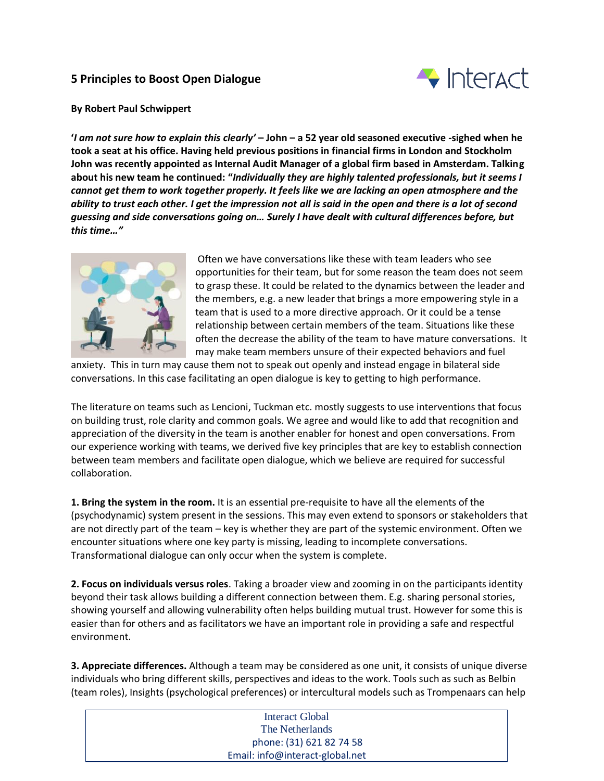## **5 Principles to Boost Open Dialogue**



## **By Robert Paul Schwippert**

**'***I am not sure how to explain this clearly'* **– John – a 52 year old seasoned executive -sighed when he took a seat at his office. Having held previous positions in financial firms in London and Stockholm John was recently appointed as Internal Audit Manager of a global firm based in Amsterdam. Talking about his new team he continued: "***Individually they are highly talented professionals, but it seems I cannot get them to work together properly. It feels like we are lacking an open atmosphere and the ability to trust each other. I get the impression not all is said in the open and there is a lot of second guessing and side conversations going on… Surely I have dealt with cultural differences before, but this time…"*



Often we have conversations like these with team leaders who see opportunities for their team, but for some reason the team does not seem to grasp these. It could be related to the dynamics between the leader and the members, e.g. a new leader that brings a more empowering style in a team that is used to a more directive approach. Or it could be a tense relationship between certain members of the team. Situations like these often the decrease the ability of the team to have mature conversations. It may make team members unsure of their expected behaviors and fuel

anxiety. This in turn may cause them not to speak out openly and instead engage in bilateral side conversations. In this case facilitating an open dialogue is key to getting to high performance.

The literature on teams such as Lencioni, Tuckman etc. mostly suggests to use interventions that focus on building trust, role clarity and common goals. We agree and would like to add that recognition and appreciation of the diversity in the team is another enabler for honest and open conversations. From our experience working with teams, we derived five key principles that are key to establish connection between team members and facilitate open dialogue, which we believe are required for successful collaboration.

**1. Bring the system in the room.** It is an essential pre-requisite to have all the elements of the (psychodynamic) system present in the sessions. This may even extend to sponsors or stakeholders that are not directly part of the team – key is whether they are part of the systemic environment. Often we encounter situations where one key party is missing, leading to incomplete conversations. Transformational dialogue can only occur when the system is complete.

**2. Focus on individuals versus roles**. Taking a broader view and zooming in on the participants identity beyond their task allows building a different connection between them. E.g. sharing personal stories, showing yourself and allowing vulnerability often helps building mutual trust. However for some this is easier than for others and as facilitators we have an important role in providing a safe and respectful environment.

**3. Appreciate differences.** Although a team may be considered as one unit, it consists of unique diverse individuals who bring different skills, perspectives and ideas to the work. Tools such as such as Belbin (team roles), Insights (psychological preferences) or intercultural models such as Trompenaars can help

| Interact Global                 |  |
|---------------------------------|--|
| The Netherlands                 |  |
| phone: (31) 621 82 74 58        |  |
| Email: info@interact-global.net |  |